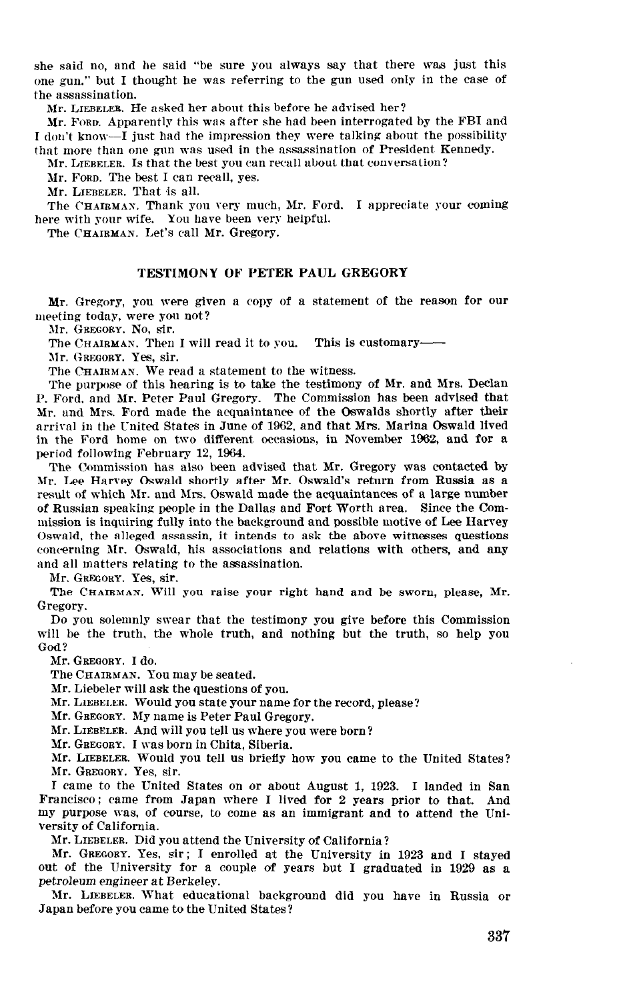she said no, and he said "be sure you always say that there was just this one gun," but I thought he was referring to the gun used only in the case of the assassination.

Mr. LIEBELER. He asked her about this before he advised her?

Mr. FORD. Apparently this was after she had been interrogated by the FBI and I don't know-1 just had the impression they were talking about the possibility that more than nne gun was used in the assassination of President Kennedy.

Mr. LIEBELER. Is that the best you can recall about that conversation?

Mr. FORD. The best I can recall, yes.

Mr. LIEBELER. That is all.

The CHAIRMAS. Thank you very much, Mr. Ford. I appreciate your coming here with your wife. You have been very helpful.

The CHAIRMAN. Let's call Mr. Gregory.

## TESTIMONY OF PETER PAUL GREGORY

Mr. Gregory, you were given a copy of a statement of the reason for our meeting today, were you not?

Mr. GREGORY. No, sir.

The CHAIRMAN. Then I will read it to you. This is customary-

Mr. GREGORY. Yes, sir.

The CHAIRMAN. We read a statement to the witness.

The purpose of this hearing is to take the testimony of Mr. and Mrs. Declan P. Ford, and Mr. Peter Paul Gregory. The Commission has been advised that Mr. and Mrs. Ford made the acquaintance of the Oswalds shortly after their arrival in the United States in June of 1962, and that Mrs. Marina Oswald lived in the Ford home on two different occasions, in November 1962, and for a period following February 12, 1964.

The Commission has also been advised that Mr. Gregory was contacted by Mr. Lee Harvey Oswald shortly after Mr. Oswald's return from Russia as a result of which Mr. and Mrs. Oswald made the acquaintances of a large number of Russian speaking people in the Dallas and Fort Worth area. Since the Commission is inquiring fully into the background and possible motive of Lee Harvey Oswald, the alleged assassin, it intends to ask the above witnesses questions concerning Xr. Oswald, his associations and relations with others, and any and all matters relating to the assassination.

Mr. GREGOKY. Yes, sir.

The CHAIRMAN. Will you raise your right hand and be sworn, please, Mr. Gregory.

Do you solemnly swear that the testimony you give before this Commission will be the truth, the whole truth, and nothing but the truth, so help you God?

Mr. GREQORY. I do.

The CHAIRMAN. You may be seated. The Chainman, You may be searcu.

 $m<sub>L</sub>$ . Lieberei. Will ask the questions of you,

Mr. LIEBELER. Would you state your name for the record, please?

Mr. GREGORY. My name is Peter Paul Gregory.

Mr. LIEBELER. And will you tell us where you were born?<br>Mr. GREGORY. I was born in Chita, Siberia.

 $ML$ . GREGORT. Twas born in Chila, sliefla.

Mr. LIEBELER. WOULD  $\text{M1.}$  creduct. I.e.s.,  $\text{S1T.}$ 

Frame to the United States on or about August 1, 1923. I landed in Sal Francisco; came from Japan where I lived for 2 years prior to that. And my purpose was, of course, to come as an immigrant and to attend the University of California.

Mr. LIEBELER. Did you attend the University of California?

Mr. GREGORY. Yes, sir; I enrolled at the University in 1923 and I stayed out of the University for a couple of years but I graduated in 1929 as a petroleum engineer at Berkeley.

Mr. LIEBELER. What educational background did you have in Russia or Japan before you came to the United States?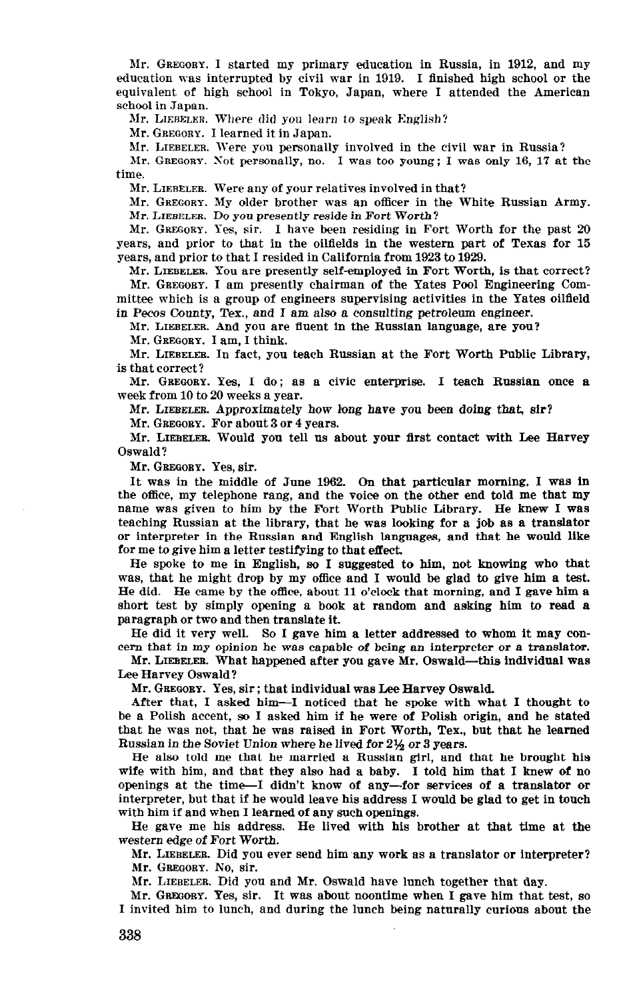Mr. GREGORY. I started my primary education in Russia, in 1912, and my education was interrupted by civil war in 1919. I finished high school or the equivalent of high school in Tokyo, Japan, where I attended the American school in Japan.

Mr. LIEBELER. Where did you learn to speak English?

Mr. GREGORY. I learned it in Japan.

Mr. LIEBELER. Were you personally involved in the civil war in Russia?

Mr. GREGORY. Not personally, no. I was too young; I was only 16, 17 at the time.

Mr. LIERELEB. Were any of your relatives involved in that?

Mr. GREGORY. My older brother was an officer in the White Russian Army. Mr. LIEBELEB. Do you presently reside in Fort Worth?

Mr. GREGORY. Yes, sir. I have been residing in Fort Worth for the past 20 years, and prior to that in the oilfields in the western part of Texas for 15 years, and prior to that I resided in California from 1923 to 1929.

Mr. LIEBELER. You are presently self-employed in Fort Worth, is that correct? Mr. GREGOBY. I am presently chairman of the Yates Pool Engineering Com-

mittee which is a group of engineers supervising activities in the Yates oilfield in Pecos County, Tex., and I am also a consulting petroleum engineer.

Mr. LIEBELEB. And you are fluent in the Russian language, are you?

Mr. GREGORY. I am, I think.

Mr. LIEBELEK In fact, you teach Russian at the Fort Worth Public Library, is that correct?

Mr. GREGORY. Yes, I do; as a civic enterprise. I teach Russian once a week from 16 to 20 weeks a year.

Mr. LIEBELER. Approximately how long have you been doing that, sir?

Mr. GREGORY. For about 3 or 4 years.

Mr. LIEBELEB. Would you tell us about your lirst contact with Lee Harvey Oswald?

Mr. GREGORY. Yes. sir.

It was in the middle of June 1962. On that particular morning, I was in the office, my telephone rang, and the voice on the other end told me that my name was given to him by the Fort Worth Public Library. He knew I was teaching Russian at the library, that he was looking for a job as a translator or interpreter in the Russian and English languages, and that he would like or interpreter in the Russian and English languages, and that he would like for me to give him a letter testifying to that effect.

He spoke to me in English, so I suggested to him, not knowing who that was, that he might drop by my office and I would be glad to give him a test. He did. He came by the office, about 11 o'clock that morning, and I gave him a  $\frac{1}{2}$  show the called  $\frac{1}{2}$  is the opening and asking the random and asking him to read as  $\frac{1}{2}$  and  $\frac{1}{2}$  and  $\frac{1}{2}$  and  $\frac{1}{2}$  and  $\frac{1}{2}$  and  $\frac{1}{2}$  and  $\frac{1}{2}$  and  $\frac{1}{2}$  and  $\frac{1}{2}$  short test by simply opening a book He did it very well. So I gave him a letter addressed to whom it may con-

ce that it very well. So I gave him a fetter addressed to whom it may co mr. Linear in my opinion at was capable of being an interpreter of a translatories

Lee Harvey Oswald  $\frac{d\mathbf{r}}{dt}$ .  $\frac{d\mathbf{r}}{dt}$  is the individual was Lee Harvey Oswald.

 $M<sub>1</sub>$ ,  $M<sub>2</sub>$ ,  $M<sub>3</sub>$ ,  $M<sub>4</sub>$ ,  $M<sub>5</sub>$ ,  $M<sub>1</sub>$ ,  $M<sub>2</sub>$ ,  $M<sub>3</sub>$ ,  $M<sub>4</sub>$ ,  $M<sub>5</sub>$ ,  $M<sub>6</sub>$ ,  $M<sub>7</sub>$ ,  $M<sub>8</sub>$ ,  $M<sub>9</sub>$ ,  $M<sub>1</sub>$ ,  $M<sub>1</sub>$ ,  $M<sub>2</sub>$ ,  $M<sub>2</sub>$ ,  $M$ 

After that, I asked him -- I noticed that he spoke with what I thought to be a Polish accent, so I asked him if he were of Polish origin, and he stated that he was not, that he was raised in Fort Worth, Tex., but that he learned Russian in the Soviet Union where he lived for  $2\frac{1}{2}$  or 3 years.

He also told me that he married a Russian girl, and that he brought his wife with him, and that they also had a baby. I told him that I knew of no openings at the time-I didn't know of any-for services of a translator or interpreter, but that if he would leave his address I would be glad to get in touch with him if and when I learned of any such openings.

He gave me his address. He lived with his brother at that time at the western edge of Fort Worth.

Mr. LIEBELER. Did you ever send him any work as a translator or interpreter? Mr. GREGORY. No. sir.

Mr. LIEBELER. Did you and Mr. Oswald have lunch together that day.

Mr. GREGORY. Yes, sir. It was about noontime when I gave him that test, so I invited him to lunch, and during the lunch being naturally curious about the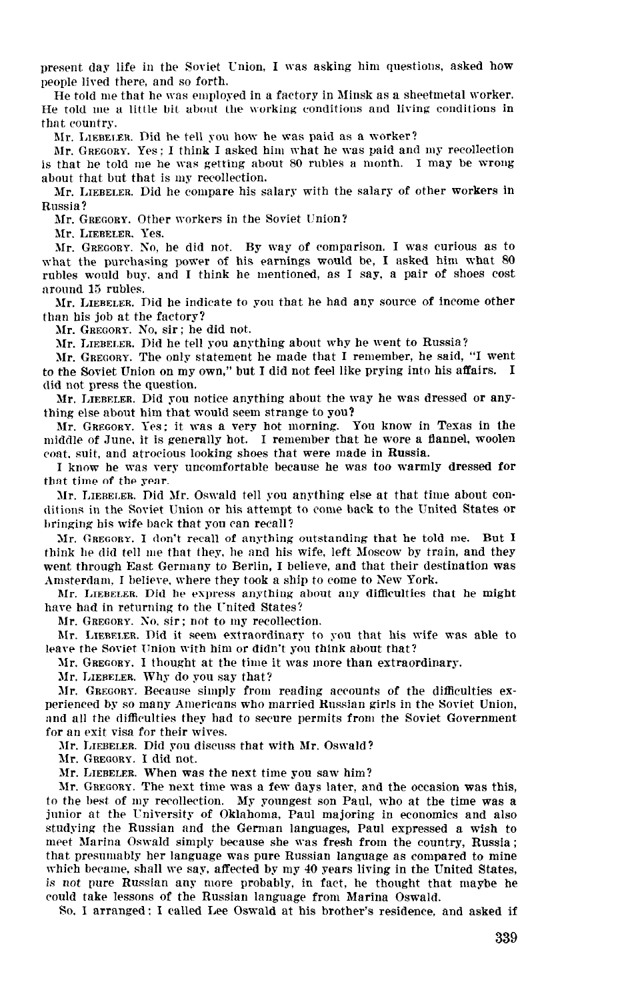present day life in the Soviet Union, I was asking him questions, asked how people lived there, and so forth.

He told me that he was employed in a factory in Minsk as a sheetmetal worker. He told me a little bit about the working conditions and living conditions in that country.

Mr. LIEBEIER. Did he tell you how he was paid as a worker?

Mr. GREGORT. Yes: I think I asked him what he was paid and my recollection is that he told me he was getting about SO rubles a month. I may be wrong about that but that is my recollection.

Mr. LIEBELER. Did he compare his salary with the salary of other workers in Russia?

Mr. GREGORY. Other workers in the Soviet Union?

Mr. LIERELER. Yes.

Mr. GREGORY. Ko, he did not. By way of comparison. I was curious as to what the purchasing power of his earnings would be, I asked him what 80 rubles would buy, and I think he mentioned, as I say, a pair of shoes cost around 15 rubles.

Mr. LIEBELER. Did he indicate to you that he had any source of income other than his job at the factory?

Mr. GREGORY. No, sir; he did not.

Mr. LIEBELER. Did he tell you anything about why he went to Russia?

Mr. GREGORY. The only statement he made that I remember, he said, "I went to the Soviet Union on my own," but I did not feel like prying into his affairs. I did not press the question.

Mr. LIEBELER. Did you notice anything about the way he was dressed or anything else about him that would seem strange to you?

Mr. GREGORY. Yes; it was a very hot morning. You know in Texas in the middle of June, it is generally hot. I remember that he wore a flannel, woolen coat. suit, and atrocious looking shoes that were made in Russia.

I know he was very uncomfortable because he was too warmly dressed for that time of the year.

Mr. LIERELER. Bid Mr. Oswald tell you anything else at that time about conditions in the Soviet Union or his attempt to come back to the United States or bringing his wife back that you can recall?

Mr. GREGORY. I don't recall of anything outstanding that he told me. But I think he did tell me that they, he and his wife, left Moscow by train, and they went the unit through East Germany, the distribution of the distribution was also believe that their designation was went through basic definant to befinite following the ship to New York.

 $M_{\rm E}$  about a simple the express and different and  $M_{\rm E}$  and  $N_{\rm E}$  might had in returning to the United States in returning to the United States. have had in returning to the United States?<br>Mr. GREGORY. No. sir; not to my recollection.

hIr. GREGORT. NO, SIT, not to my reconcertion.

leave the Soviet Union with the Soviet Union with the Soviet Union of the Union or the Union of the Union of the Union of the Union of the Union of the Union of the Union of the Union of the Union of the Union of the Union leave the Soviet Union with him or didn't you think about that?

Mr. GREGORY. I thought at the time it was more than extraordinary.<br>Mr. LIEBELER. Why do you say that?

 $\text{M1}$ . GREGORT. Because simply from reading accounts of the different of the differences ex-

period by so many americans who many accounts of the dimenties experienced by so many Americans who married Russian girls in the Soviet Union, and all the difficulties they had to secure permits from the Soviet Government for an exit visa for their wives. r an exit visa for their wives.

Mr. LIEBELER. DIG you e

Mr. GREGORY. I did not.

Mr. LIEBELER. When was the next time you saw him!

Mr. GREGORY. The next time was a few days later, and the occasion was this, to the best of my recollection. My youngest son Paul, who at the time was a junior at the University of Oklahoma, Paul majoring in economics and also studying the Russian and the German languages, Paul expressed a wish to meet Marina Oswald simply because she was fresh from the country, Russia; that presumably her language was pure Russian language as compared to mine which became, shall we say, affected by my 40 years living in the United States, is not pure Russian any more probably, in fact, he thought that maybe he So, I arranged: I called Lee Oswald at his brother's residence, and asked if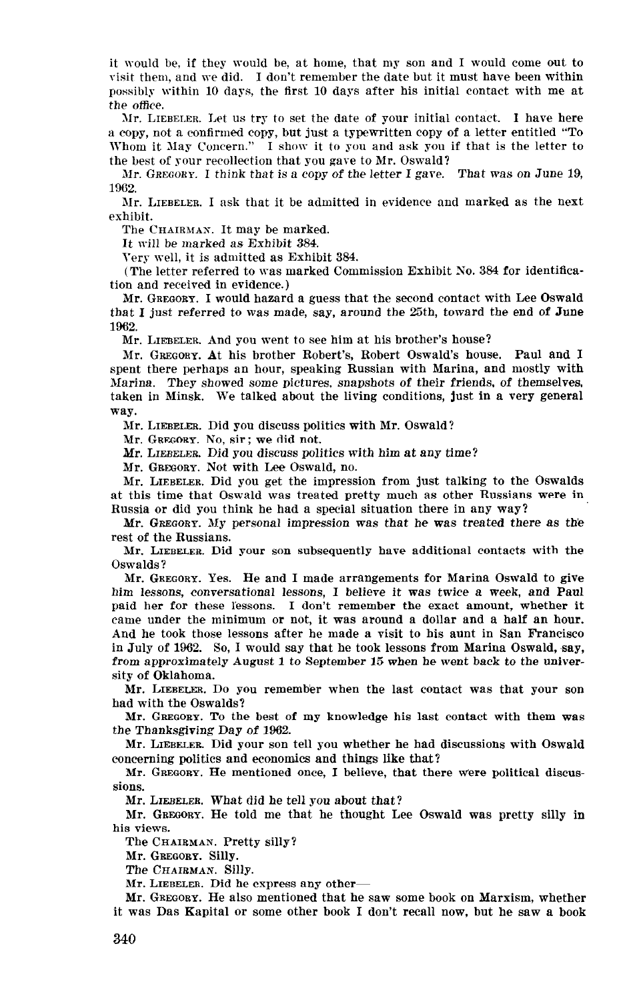it would be, if they would be, at home, that my son and I would come out to risit them, and we did. I don't remember the date but it must have been within possibly within 10 days, the first 10 days after his initial contact with me at the office.

Mr. LIEBELER. Let us try to set the date of your initial contact. I have here a copy, not a confirmed copy, but just a typewritten copy of a letter entitled "To Whom it May Concern." I show it to you and ask you if that is the letter to the best of your recollection that you gave to Mr. Oswald?

Mr. GREGORY. I think that is a copy of the letter I gave. That was on June 19, 1062.

Mr. LIEBELER. I ask that it be admitted in evidence and marked as the next exhibit.

The CHAIRMAN. It may be marked.

It will be marked as Exhibit 384.

Very well, it is admitted as Exhibit 384.

(The letter referred to was marked Commission Exhibit No. 384 for identification and received in evidence.)

Mr. GREGORY. I would hazard a guess that the second contact with Lee Oswald that I just referred to was made, say, around the 25th, toward the end of June 1962.

Mr. LIEBELER. And you went to see him at his brother's house?

Mr. GREGORY. At his brother Robert's, Robert Oswald's house. Paul and I spent there perhaps an hour, speaking Russian with Marina, and mostly with Marina. They showed some pictures, snapshots of their friends, of themselves, taken in Minsk. We talked about the living conditions, just in a very general way.

Mr. LIEBELER. Did you discuss politics with Mr. Oswald?

Mr. GREGORY. No, sir; we did not.

Mr. LIEBELER. Did you discuss politics with him at any time?

Mr. GREQORY. Not with Lee Oswald, no.

Mr. LIEBELER. Did you get the impression from just talking to the Oswalds at this time that Oswald was treated pretty much as other Russians were in Russia or did you think he had a special situation there in any way?

Mr. GREGORY. My personal impression was that he was treated there as the rest of the Russians.

Mr. LIEBELER. Did your son subsequently have additional contacts with the Oswalds?

Mr. GREGORY. Yes. He and I made arrangements for Marina Oswald to give him lessons, conversational lessons, I believe it was twice a week, and Paul paid her for these lessons. I don't remember the exact amount, whether it came under the minimum or not, it was around a dollar and a half an hour. And he took those lessons after he made a visit to his aunt in San Francisco ing it took those resours after he made a visit to his dum in our Francisco from any of room. Bo, I would say that he took ressons from marina Osward, is from approximately August 1 to September 15 when he went back to the university of Oklahoma.  $\mathbf y$  of  $\mathbf y$  remembers.

mi. Dieperew. Do  $\mathbf u$  with the  $\mathbf v$  best of my knowledge his last contact with the  $\mathbf v$  with the  $\mathbf v$ 

mr. GREGORY. TO the Dest  $\mathcal{L}$  Liebels ving Day of 1902.

mi. Litebeach, Diu your son ten you whether he has concerning politics and economics and things like that?

Mr. GREGORY. He mentioned once, I believe, that there were political discussions.  $\mu$ B.  $\mu$ 

Mr. LIEBELER. What did he tell you about that?

Mr. GREGORY. He told me that he thought Lee Oswald was pretty silly in his views.

The CHAIRMAN. Pretty silly?

Mr. GREGORY. Silly.

The CHAIRMAN. Silly.

Mr. LIEBELER. Did he express any other-

 $Mr. GREGORY. He also mentioned that he saw some book on Marxism, whether$ it was Das Kapital or some other book I don't recall now, but he saw a book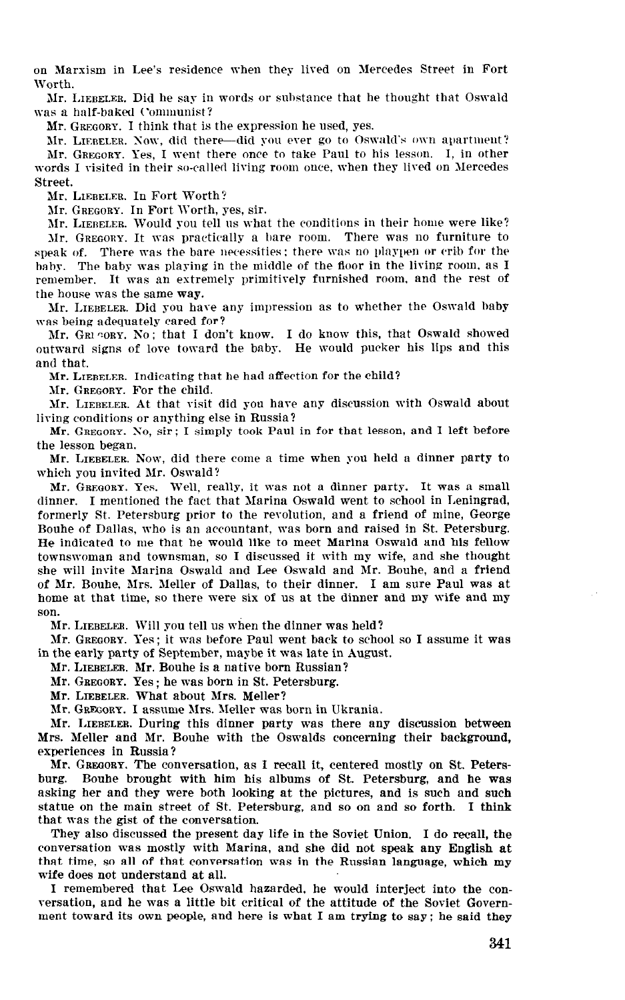on Marxism in Lee's residence when they lived on Mercedes Street in Fort Worth.

Mr. LIEBEI.ER. Did he say in words or substance that he thought that Oswald was a half-baked Communist?

Mr. GREQORY. I think that is the expression he used, yes.

Mr. LIEBELER. Now, did there-did you ever go to Oswald's own apartment? Mr. GREGORY. Yes, I went there once to take Paul to his lesson. I, in other words I visited in their so-called living room once, when they lived on Mercedes Street.

Mr. LIERELER. In Fort Worth?

Xr. GREGORY. In Fort Worth, yes, sir.

Mr. LIEBELER. Would you tell us what the conditions in their home were like? Xr. GREGORY. It was practically a bare room. There was no furniture to speak of. There was the bare necessities; there was no playpen or crib for the baby. The baby was playing in the middle of the floor in the living room, as I remember. It was an extremely primitively furnished room. and the rest of the house was the same way.

Mr. LIERELER. Did you hare any impression as to whether the Oswald baby was being adequately cared for?

Mr. GRI "ORY. No; that I don't know. I do know this, that Oswald showed outward signs of love toward the baby. He would pucker his lips and this and that.

Mr. LIERELER. Indicating that he had affection for the child?

Mr. GREGORY. For the child.

Mr. LIEBELER. At that visit did you have any discussion with Oswald about living conditions or anything else in Russia?

Mr. GREGORY. So, sir; I simply took Paul in for that lesson, and I left before the lesson began.

Mr. LIEBELER. Now, did there come a time when you held a dinner party to which you invited Mr. Oswald?

Mr. GREGORY. Yes. Well, really, it was not a dinner party. It was a small dinner. I mentioned the fact that Marina Oswald went to school in Leningrad, formerly St. Petersburg prior to the revolution, and a friend of mine, George Bouhe of Dallas, who is an accountant, was born and raised in St. Petersburg. He indicated to me that he would like to meet Marina Oswald and his fellow townswoman and townsman, so I discussed it with my wife, and she thought she will invite Marina Oswald and Lee Oswald and Mr. Bouhe, and a friend of Mr. Bouhe, Mrs. Meller of Dallas, to their dinner. I am sure Paul was at  $\frac{1}{2}$  at the sound, state state  $\frac{1}{2}$  at  $\frac{1}{2}$  and  $\frac{1}{2}$  and  $\frac{1}{2}$  and  $\frac{1}{2}$  and  $\frac{1}{2}$  and  $\frac{1}{2}$  and  $\frac{1}{2}$ son. son.<br>Mr. LIEBELER. Will you tell us when the dinner was held?

Mr. GREGORY. Yes; it was before Paul went back to school so I assume it was in the energies of the september of September, may be in August. me early party of september, may be to was face.

Mr. LIEBELER. Mr. Bouhe is a native born Russian?

Mr. GREGORY. Yes: he was born in St. Petersburg.

Mr. LIEBELER. What about Mrs. Meller?

Mr. GREGORY. I assume Mrs. Meller was born in Ukrania.

Mr. LIEBELER. During this dinner party was there any discussion between Mrs. Meller and Mr. Bouhe with the Oswalds concerning their background, experiences in Russia?  $\mu$ er dences in  $\mu$ ussiation, as I recall it, centered mostly on St. Peters-

 $\mu$ r. Gregori. The conversation, as I recall it, centered mostly on St. Peters burg. Bouhe brought with him his albums of St. Petersburg, and he was asking her and they were both looking at the pictures, and is such and such statue on the main street of St. Petersburg, and so on and so forth. I think that was the gist of the conversation.

They also discussed the present day life in the Soviet Union. I do recall, the conversation was mostly with Marina, and she did not speak any English at that time, so all of that conversation was in the Russian language, which my wife does not understand at all.

I remembered that Lee Oswald hazarded, he would interject into the conversation, and he was a little bit critical of the attitude of the Soviet Government toward its own people, and here is what I am trying to say; he said they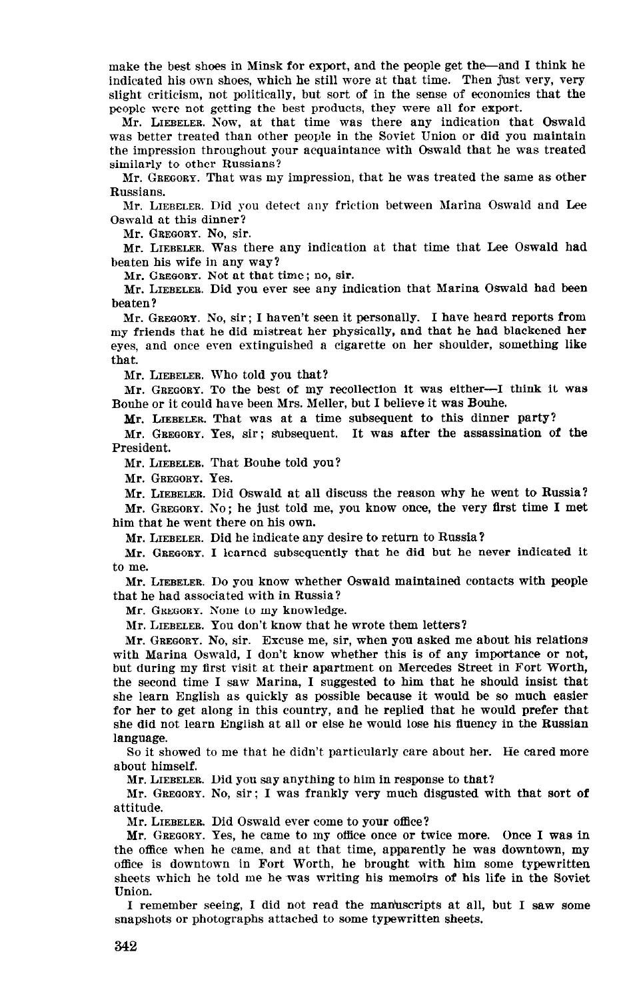make the best shoes in Minsk for export, and the people get the-and I think he indicated his own shoes, which he still wore at that time. Then just very, very slight criticism, not politically, but sort of in the sense of economics that the people were not getting the best products, they were all for export.

Mr. LIEBELER. Now, at that time was there any indication that Oswald was better treated than other people in the Soviet Union or did you maintain the impression throughout your acquaintance with Oswald that he was treated similarly to other Russians?

Mr. GREQORY. That was my impression, that he was treated the same as other Russians.

Mr. LIEBELEB. Did you detect any friction between Marina Oswald and Lee Oswald at this dinner?

Mr. GREGORY. No, sir.

Mr. LIEBELEB. Was there any indication at that time that Lee Oswald had beaten his wife in any way?

Mr. GREGORY. Not at that time; no, sir.

Mr. LIEBELER. Did you ever see any indication that Marina Oswald had been beaten?

Mr. GREGORY. No, sir; I haven't seen it personally. I have heard reports from my friends that he did mistreat her physically, and that he had blackened her eyes, and once even extinguished a cigarette on her shoulder, something like that.

Mr. LIEBELER. Who told you that?

Mr. GREGORY. To the best of my recollection it was either-I think it was Bouhe or it could have been Mrs. Meller, but I believe it was Bouhe.

Mr. LIEBELER. That was at a time subsequent to this dinner party?

Mr. GREOOBY. Yes, sir; subsequent. It was after the assassination of the President.

Mr. LIEBELEB. That Bouhe told you?

Mr. GREGORY. Yes.

Mr. LIEBELEE. Did Oswald at all discuss the reason why he went to Russia? Mr. GREGORY. No; he just told me, you know once, the very first time I met him that he went there on his own.

Mr. LIEBELER. Did he indicate any desire to return to Russia?

Mr. GREGORY. I learned subsequently that he did but he never indicated it to me.

Mr. LIEBELER. Do you know whether Oswald maintained contacts with people that he had associated with in Russia?

Mr. GREGORY. Kone to my knowledge.

Mr. LIEBELEB. You don't know that he wrote them letters?

Mr. GREGORY. No, sir. Excuse me, sir, when you asked me about his relations with Marina Oswald, I don't know whether this is of any importance or not, but during my first visit at their apartment on Mercedes Street in Fort Worth,  $\frac{1}{\sqrt{2}}$ she lecolul third a learn matrixing a progressive because it was no much as possible values she learn English as quickly as possible because it would be so much easier for her to get along in this country, and he replied that he would prefer that she did not learn English at all or else he would lose his fluency in the Russian language. So it showed to me that he didn't particularly care about he didn't particularly care about her. In the care o

 $\sim$   $\mu$  and  $\sum_{i=1}^n$ 

Mr. Hisselem. Did you say any thing to find in response to that.

Mr. GREGORY. No, sir; I was frankly very much disgusted with that sort of attitude.  $\mathcal{L}$  . Did oswald ever come to  $\mathcal{L}$ 

 $M<sub>II</sub>$ . Exemploys  $M<sub>II</sub>$  cannot once or twice  $M<sub>II</sub>$  was interesting more.

Mr. GREGORY. Yes, he came to my office once or twice more. Once I was in the office when he came, and at that time, apparently he was downtown, my office is downtown in Fort Worth, he brought with him some typewritten sheets which he told me he was writing his memoirs of his life in the Soviet Union. I remember seeing, I did not read the manuscripts at all, but I saw some

I remember seeing, I did not read the mainteeripts at a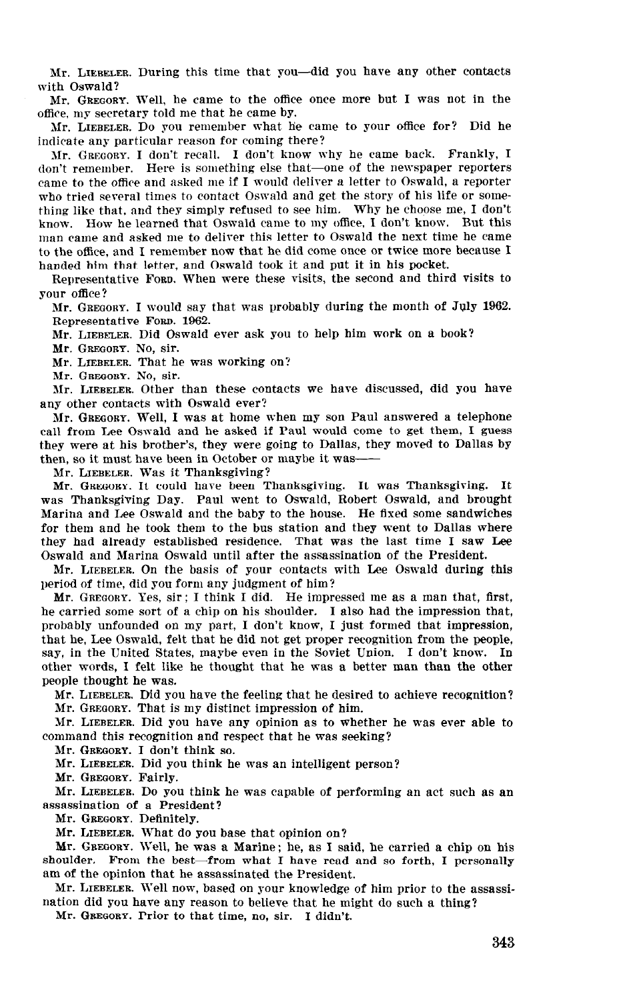Mr. LIEBELER. During this time that you-did you have any other contacts with Oswald?

Mr. GREGORY. Well, he came to the office once more but I was not in the office, my secretary told me that he came by.

Mr. LIEBELER. Do you remember what he came to your office for? Did he indicate any particular reason for coming there?

Xr. GREGORY. I don't recall. I don't know why he came back. Frankly, I don't remember. Here is something else that-one of the newspaper reporters came to the office and asked me if I would deliver a letter to Oswald, a reporter who tried several times to contact Oswald and get the story of his life or something like that, and they simply refused to see him. Why he choose me, I don't know. How he learned that Oswald came to my office, I don't know. Rut this man came and asked me to deliver this letter to Oswald the next time he came to the office, and I remember now that he did come once or twice more because 1 handed him that letter, and Oswald took it and put it in his pocket.

Representative FORD. When were these visits, the second and third visits to your office?

Mr. GREGORY. I would say that was probably during the month of July 1962. Representative FORD. 1962.

Mr. LIEBETLEX. Did Oswald ever ask you to help him work on a book?

Mr. GREGORY. No, sir.

Mr. LIEBELER. That he was working on?

Mr. GREOORY. No, sir.

Mr. LIEBELER. Other than these contacts we have discussed, did you have any other contacts with Oswald ever?

Mr. GREQORY. Well, I was at home when my son Paul answered a telephone call from Lee Oswald and he asked if Paul would come to get them, I guess they were at his brother's, they were going to Dallas, they moved to Dallas by then, so it must have been in October or maybe it was-

Mr. LIEBELER. Was it Thanksgiving?

Mr. GREGORY. It could have been Thanksgiving. It was Thanksgiving. It was Thanksgiving Day. Paul went to Oswald, Robert Oswald, and brought Marina and Lee Oswald and the baby to the house. He fixed some sandwiches for them and he took them to the bus station and they went to Dallas where they had already established residence. That was the last time I saw Lee Oswald and Marina Oswald until after the assassination of the President.

Mr. LIEBELER. On the basis of your contacts with Lee Oswald during this period of time, did you form any judgment of him?

Mr. GREGOKY. Yes, sir: I think I did. He impressed me as a man that, first, he carried some sort of a chip on his shoulder. I also had the impression that, probably unfounded on my part, I don't know, I just formed that impression, that he, Lee Oswald, felt that he did not get proper recognition from the people, share in, inc. Oswani, fere that he and not get proper recognition. Irom the people  $\sum_{i=1}^{\infty}$  for the thermal states, induce the man the soviet ender  $\sum_{i=1}^{\infty}$ other words, I felt like he thought that he was a better man than the other people thought he was.

Mr. LIEBELER. Did you have the feeling that he desired to achieve recognition? Mr. Himselem. That you have the recting that he desired  $M_{\rm H}$ . GREGORI. THET is my district impression of  $\lim_{\epsilon \to 0}$ .

Mr. LIEBELER. Did you have any opinion as to whether he was ever able to command this recognition and respect that he was seeking?

Mr. GREGORY. I don't think so.

Mr. LIEBELER. Did you think he was an intelligent person?

Mr. GREGORY. Fairly.

Mr. LIEBELER. Do you think he was capable of performing an act such as an assassination of a President?

Mr. GREGORY. Definitely.

Mr. LIEBELER. What do you base that opinion on?

Mr. GREGORY. Well, he was a Marine; he, as I said, he carried a chip on his shoulder. From the best-from what I have read and so forth, I personally am of the opinion that he assassinated the President.

Mr. LIEBELER. Well now, based on your knowledge of him prior to the assassination did you have any reason to believe that he might do such a thing?

Mr. GREGORY. Prior to that time, no, sir. I didn't.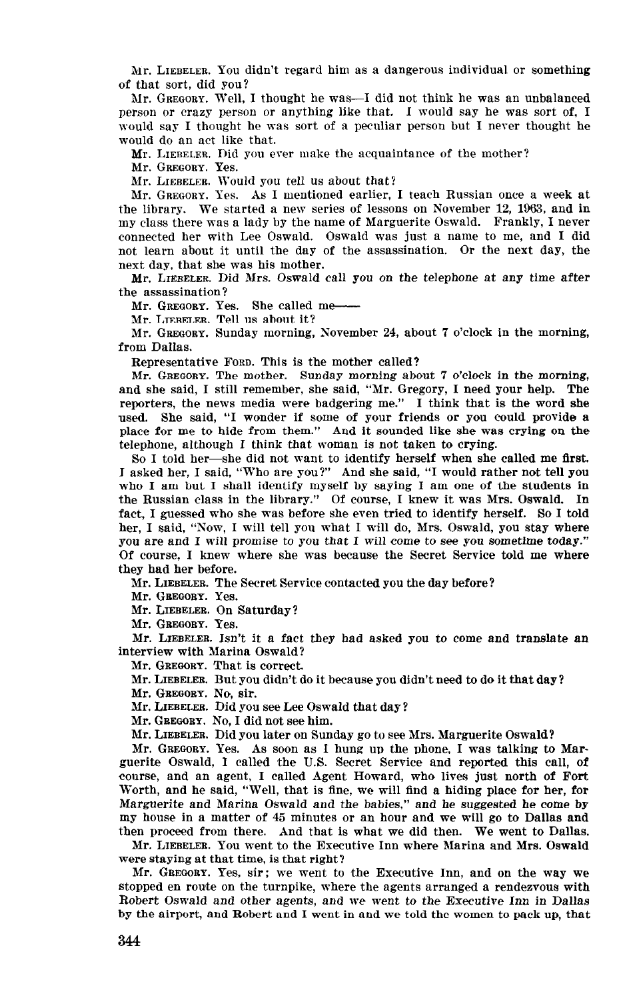Mr. LIEBELER. You didn't regard him as a dangerous individual or something of that sort, did you?

Mr. GREGORY. Well, I thought he was-1 did not think he was an unbalanced person or crazy person or anything like that. I would say he was sort of, I would say I thought he was sort of a peculiar person but I never thought he would do an act like that.

Mr. LIEBELER. Did you ever make the acquaintance of the mother

Mr. GREGORY. Yes.

Mr. LIEBELER. Would you tell us about that?

Mr. GREGORY. Yes. As I mentioned earlier, I teach Russian once a week at the library. We started a new series of lessons on November 12, 1963, and in my class there was a lady by the name of Marguerite Oswald. Frankly, I never connected her with Lee Oswald. Oswald was just a name to me, and I did not learn about it until the day of the assassination. Or the next day, the next day, that she was his mother.

Mr. LIEBELER. Did Mrs. Oswald call you on the telephone at any time after the assassination?

Mr. GREGORY. Yes. She called me-

Mr. LIEBELER. Tell us about it?

Mr. GREGORY. Sunday morning, November 24, about 7 o'clock in the morning, from Dallas.

Representative FORD. This is the mother called?

Mr. GREGORY. The mother. Sunday morning about 7 o'clock in the morning, and she said, I still remember, she said, "Mr. Gregory, I need your help. The reporters, the news media were badgering me." I think that is the word she used. She said, "I wonder if some of your friends or you could provide a place for me to hide from them." And it sounded like she was crying on the telephone, although I think that woman is not taken to crying.

So I told her-she did not want to identify herself when she called me first. J asked her, I said, "Who are you?" And she said, "I would rather not tell you who I am but I shall identify myself by saying I am one of the students in the Russian class in the library." Of course, I knew it was Mrs. Oswald. In fact, I guessed who she was before she even tried to identify herself. So I told her, I said, "Now, I will tell you what I will do, Mrs. Oswald, you stay where you are and I will promise to you that I will come to see you sometime today." Of course, I knew where she was because the Secret Service told me where they had her before.  $\mathbf{F}$  and the Secret Secret Secret Secret Service contact Service contact service contact of  $\mathbf{F}$ 

Mi. Clebecer, Inc.<br>Mr. Geboore, V

Mr. GREGORY. Yes.<br>Mr. LIEBELER. On Saturday?

Mr. GREGORY. Yes.

 $M<sub>L</sub>$  Liebeler. It as fact the set of the set of the asked you to come and translate and translate and translate and translate and translate and translate and translate and translate and translate and translate and tr interview with Marina Oswald. interview with Marina Oswald?<br>Mr. GREGORY. That is correct.

Mr. GREGORY. THAT IS COTTECT.

Mr. LIEBELER. But you

Mr. GREGORY. No. sir.

Mr. LIEBELER. Did you see Lee Oswald that day?

Mr. GREGORY. No. I did not see him.

Mr. LIEBELER. Did you later on Sunday go to see Mrs. Marguerite Oswald?

Mr. GREGORY. Yes. As soon as I hung up the phone, I was talking to Marguerite Oswald, I called the U.S. Secret Service and reported this call, of course, and an agent, I called Agent Howard, who lives just north of Fort Worth, and he said, "Well, that is fine, we will find a hiding place for her, for Marguerite and Marina Oswald and the babies," and he suggested he come by my house in a matter of 45 minutes or an hour and we will go to Dallas and then proceed from there. And that is what we did then. We went to Dallas.

Mr. LIEBELER. You went to the Executive Inn where Marina and Mrs. Oswald Were staying at that time, is that right?

Mr. GREGORY. Yes, sir; we went to the Executive Inn, and on the way we stopped en route on the turnpike, where the agents arranged a rendezvous with Robert Oswald and other agents, and we went to the Executive Inn in Dallas by the airport, and Robert and I went in and we told the women to pack up, that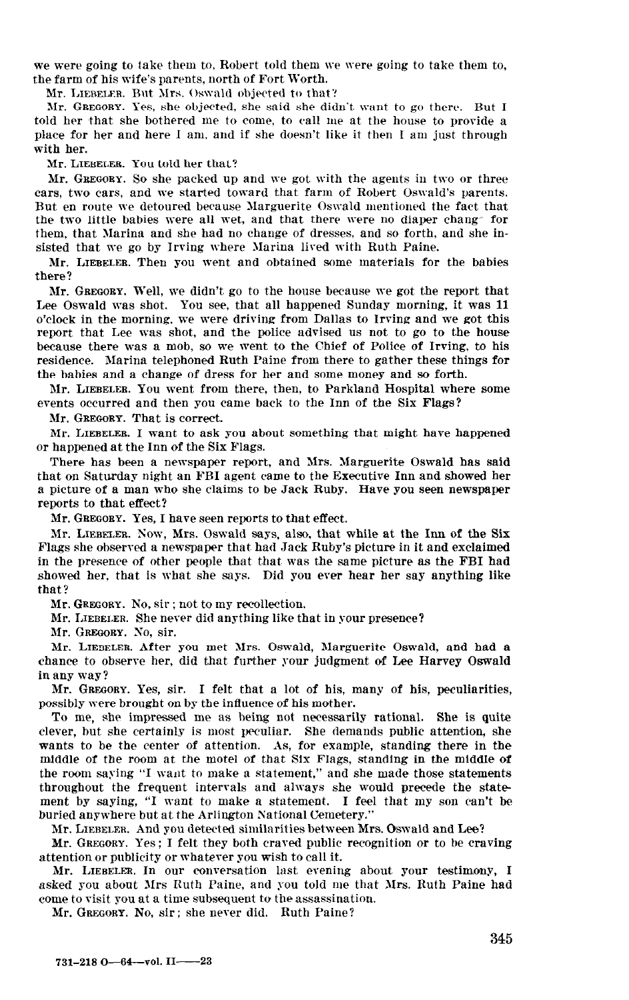we were going to take them to, Robert told them we were going to take them to, the farm of his wife's parents, north of Fort Worth.

Mr. LIEBELER. But Mrs. Oswald objected to that?

Mr. GREOORY. Yes, she objected, she said she didn't want to go there. But I told her that she bothered me to come, to call me at the house to provide a place for her and here I am. and if she doesn't like it then I am just through with her.

Mr. LIEBELER. You told her that?

Mr. GEEQOBY. So she packed up and we got with the agents in two or three cars, two cars, and we started toward that farm of Robert Oswald's parents. But en route we detoured because Marguerite Oswald mentioned the fact that the two little babies were all wet, and that there were no diaper chang- for them, that Xarina and she had no change of dresses. and so forth, and she insisted that we go by Irving where Marina lived with Ruth Paine.

Mr. LIEBELER. Then you went and obtained some materials for the babies there?

Mr. GREGORY. Well, we didn't go to the house because we got the report that Lee Oswald was shot. You see, that all happened Sunday morning, it was 11 o'clock in the morning, we were driving from Dallas to Irving and we got this report that Lee was shot, and the police advised us not to go to the house because there was a mob, so we went to the Chief of Police of Irving, to his residence. Marina telephoned Ruth Paine from there to gather these things for the babies and a change of dress for her and some money and so forth.

Mr. LIEBELEB. You went from there, then, to Parkland Hospital where some events occurred and then you came back to the Inn of the Six Flags?

Mr. GREGORY. That is correct.

Mr. LIEBELEB. I want to ask you about something that might have happened or happened at the Inn of the Six Flags.

There has been a newspaper report, and Mrs. Marguerite Oswald has said that on Saturday night an FBI agent came to the Executive Inn and showed her a picture of a man who she claims to be Jack Ruby. Have you seen newspaper reports to that effect?

Mr. GBEGOBY. Yes, I have seen reports to that effect.

Mr. LIEBELER. Now, Mrs. Oswald says, also, that while at the Inn of the Six Flags she observed a newspaper that had Jack Ruby's picture in it and exclaimed in the presence of other people that that was the same picture as the FBI had showed her, that is what she says. Did you ever hear her say anything like that ?

Mr. GREGORY. No, sir ; not to my recollection. Mr. GARGARY NO, EXT, HOU PO HIJ TUCHTURGH,

Mr. LIEBELER. She never did anything like that in your presence?<br>Mr. Gregory. No, sir.

Mr. LIESELER. After you met Mrs. Oswald, Marguerite Oswald, and had a chance the throughout that further you have you have you have not been chance to observe her, did that further your judgment of Lee Harvey Oswald in any way? Mr. GREGORY. Yes, sir. I felt that a lot of his, many of his, peculiarities,

part onested to by the international control of his possibly were brought on by the influence of his mother.

To me, she impressed me as being not necessarily rational. She is quite clever, but she certainly is most peculiar. She demands public attention, she wants to be the center of attention. As, for example, standing there in the middle of the room at the motel of that Six Flags, standing in the middle of the room saying "I want to make a statement," and she made those statements throughout the frequent intervals and always she would precede the statement by saying, "I want to make a statement. I feel that my son can't be buried anywhere but at the Arlington National Cemetery."

Mr. LIEBELER. And you detected similarities between Mrs. Oswald and Lee?

Mr. GREGORY. Yes: I felt they both craved public recognition or to be craving attention or publicity or whatever you wish to call it.

Mr. LIEBELER. In our conversation last evening about your testimony, I asked you about Mrs Ruth Paine, and you told me that Mrs. Ruth Paine had come to visit you at a time subsequent to the assassination.

Mr. GREGORY. No, sir; she never did. Ruth Paine?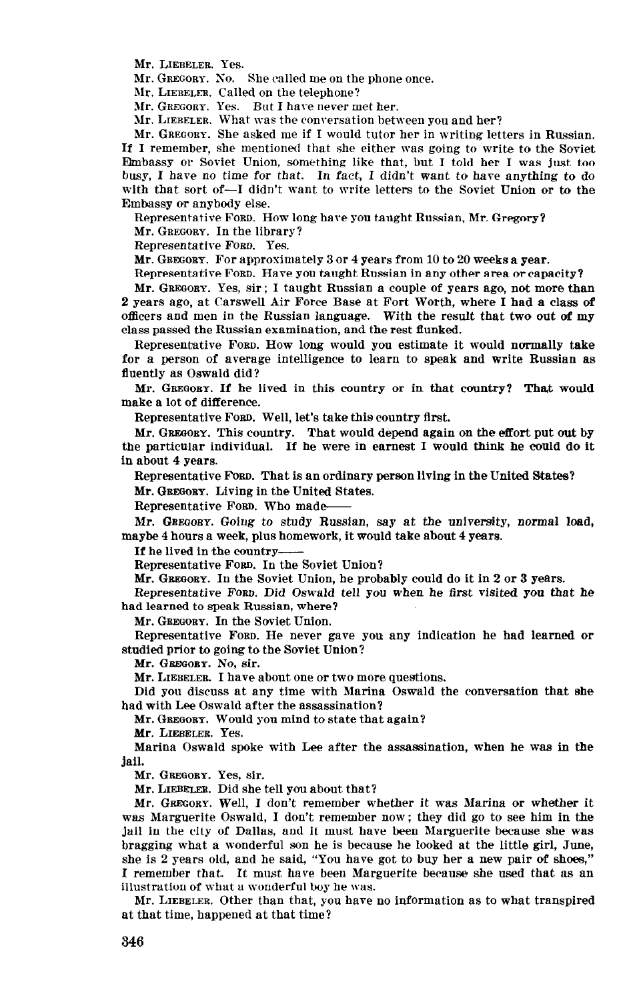Mr. LIEBELER. Yes.

Mr. GREGORY. No. She called me on the phone once.

Mr. LIEBELEX. Called on the telephone?

Mr. GREGORY. Yes. But I have never met her.

Mr. LIERELER. What was the conversation between you and her?

Mr. GREGORY. She asked me if I would tutor her in writing letters in Russian. If I remember, she mentioned that she either was going to write to the Soviet Embassy or Soviet Union, something like that, but I told her I was just too busy, I have no time for that. In fact, I didn't want to have anything to do with that sort of-I didn't want to write letters to the Soviet Union or to the Embassy or anybody else.

Representative FORD. How long have you taught Russian, Mr. Gregory?

Mr. GREGORY. In the library?

Representative FORD. Yes.

Mr. GREGORY. For approximately 3 or 4 years from 10 to 20 weeks a year.

Representative FORD. Have you taught Russian in any other area or capacity?

Mr. GREGORY. Yes, sir; I taught Russian a couple of years ago, not more than 2 years ago, at Carswell Air Force Base at Fort Worth, where I had a class of officers and men in the Russian language. With the result that two out of my class passed the Russian examination, and the rest flunked.

Representative FORD. How long would you estimate it would normally take for a person of average intelligence to learn to speak and write Russian as fluently as Oswald did?

Mr. GREGORY. If he lived in this country or in that country? That would make a lot of difference.

Representative FORD. Well, let's take this country first.

Mr. GREGORY. This country. That would depend again on the effort put out by the particular individual. If he were in earnest I would think he could do it in about 4 years.

Representative FORD. That is an ordinary person living in the United States?

Mr. GREGORY. Living in the United States.

Representative Forp. Who made-

Mr. GREGOBY. Going to study Russian, say at the university, normal load, maybe 4 hours a week, plus homework, it would take about 4 years.

If he lived in the country-

Representative FORD. In the Soviet Union?

 $M_{\rm F}$  and  $M_{\rm H}$  in the Soviet Union, he probably condition,  $\theta = 2$  $R_{\rm R}$ . Oswobst. In the soviet Official deprocasily count no fit in 2 of 5 years.

Representative FORD. Did Oswald tell you when he first visited you that he had learned to speak Russian, where?

Mr. GREGORY. In the Soviet Union.

 $R_{\rm R}$ . Gregorian He sover gave  $\alpha$  indication here  $\alpha$ nepresentative roke, he never gave studied prior to going to the Soviet Union?<br>Mr. GREGORY. No. sir.

Mr. LIEBELER. I have about one or two more questions.  $\overline{M}$ . The selection at any time with Marina Oswald the conversation that a selection that a selection that any  $\overline{M}$ 

had you discuss at any time with Mari had with Lee Oswald after the assassination?

Mr. GREGORY. Would you mind to state that again?<br>Mr. LIEBELER. Yes.

Marina Oswald spoke with Lee after the assassination, when he was in the was in the was in the was in the was i

jail. Mr. GREGORY. Yes, sir.

Mr. GREGORY. Yes, sir.

Mr. LIEBELER. Did she tell you about that?

Mr. GREGORY. Well, I don't remember whether it was Marina or whether it was Marguerite Oswald. I don't remember now; they did go to see him in the jail in the city of Dallas, and it must have been Marguerite because she was bragging what a wonderful son he is because he looked at the little girl, June, she is 2 years old, and he said. "You have got to buy her a new pair of shoes," I remember that. It must have been Marguerite because she used that as an illustration of what a wonderful boy he was.

Mr. LIEBELER. Other than that, you have no information as to what transpired at that time, happened at that time?